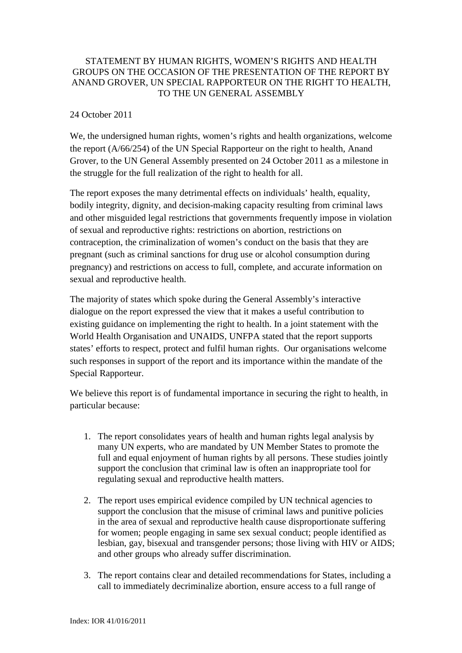## STATEMENT BY HUMAN RIGHTS, WOMEN'S RIGHTS AND HEALTH GROUPS ON THE OCCASION OF THE PRESENTATION OF THE REPORT BY ANAND GROVER, UN SPECIAL RAPPORTEUR ON THE RIGHT TO HEALTH, TO THE UN GENERAL ASSEMBLY

## 24 October 2011

We, the undersigned human rights, women's rights and health organizations, welcome the report (A/66/254) of the UN Special Rapporteur on the right to health, Anand Grover, to the UN General Assembly presented on 24 October 2011 as a milestone in the struggle for the full realization of the right to health for all.

The report exposes the many detrimental effects on individuals' health, equality, bodily integrity, dignity, and decision-making capacity resulting from criminal laws and other misguided legal restrictions that governments frequently impose in violation of sexual and reproductive rights: restrictions on abortion, restrictions on contraception, the criminalization of women's conduct on the basis that they are pregnant (such as criminal sanctions for drug use or alcohol consumption during pregnancy) and restrictions on access to full, complete, and accurate information on sexual and reproductive health.

The majority of states which spoke during the General Assembly's interactive dialogue on the report expressed the view that it makes a useful contribution to existing guidance on implementing the right to health. In a joint statement with the World Health Organisation and UNAIDS, UNFPA stated that the report supports states' efforts to respect, protect and fulfil human rights. Our organisations welcome such responses in support of the report and its importance within the mandate of the Special Rapporteur.

We believe this report is of fundamental importance in securing the right to health, in particular because:

- 1. The report consolidates years of health and human rights legal analysis by many UN experts, who are mandated by UN Member States to promote the full and equal enjoyment of human rights by all persons. These studies jointly support the conclusion that criminal law is often an inappropriate tool for regulating sexual and reproductive health matters.
- 2. The report uses empirical evidence compiled by UN technical agencies to support the conclusion that the misuse of criminal laws and punitive policies in the area of sexual and reproductive health cause disproportionate suffering for women; people engaging in same sex sexual conduct; people identified as lesbian, gay, bisexual and transgender persons; those living with HIV or AIDS; and other groups who already suffer discrimination.
- 3. The report contains clear and detailed recommendations for States, including a call to immediately decriminalize abortion, ensure access to a full range of